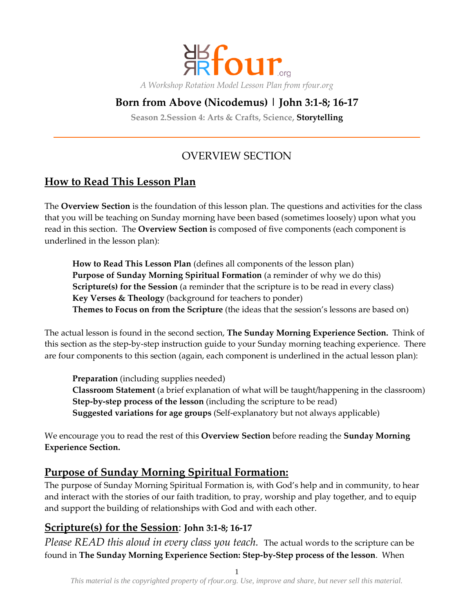

## **Born from Above (Nicodemus) | John 3:1-8; 16-17**

**Season 2.Session 4: Arts & Crafts, Science, Storytelling**

# OVERVIEW SECTION

## **How to Read This Lesson Plan**

The **Overview Section** is the foundation of this lesson plan. The questions and activities for the class that you will be teaching on Sunday morning have been based (sometimes loosely) upon what you read in this section. The **Overview Section i**s composed of five components (each component is underlined in the lesson plan):

**How to Read This Lesson Plan** (defines all components of the lesson plan) **Purpose of Sunday Morning Spiritual Formation** (a reminder of why we do this) **Scripture(s) for the Session** (a reminder that the scripture is to be read in every class) **Key Verses & Theology** (background for teachers to ponder) **Themes to Focus on from the Scripture** (the ideas that the session's lessons are based on)

The actual lesson is found in the second section, **The Sunday Morning Experience Section.** Think of this section as the step-by-step instruction guide to your Sunday morning teaching experience. There are four components to this section (again, each component is underlined in the actual lesson plan):

**Preparation** (including supplies needed) **Classroom Statement** (a brief explanation of what will be taught/happening in the classroom) **Step-by-step process of the lesson** (including the scripture to be read) **Suggested variations for age groups** (Self-explanatory but not always applicable)

We encourage you to read the rest of this **Overview Section** before reading the **Sunday Morning Experience Section.**

### **Purpose of Sunday Morning Spiritual Formation:**

The purpose of Sunday Morning Spiritual Formation is, with God's help and in community, to hear and interact with the stories of our faith tradition, to pray, worship and play together, and to equip and support the building of relationships with God and with each other.

### **Scripture(s) for the Session**: **John 3:1-8; 16-17**

*Please READ this aloud in every class you teach.* The actual words to the scripture can be found in **The Sunday Morning Experience Section: Step-by-Step process of the lesson**. When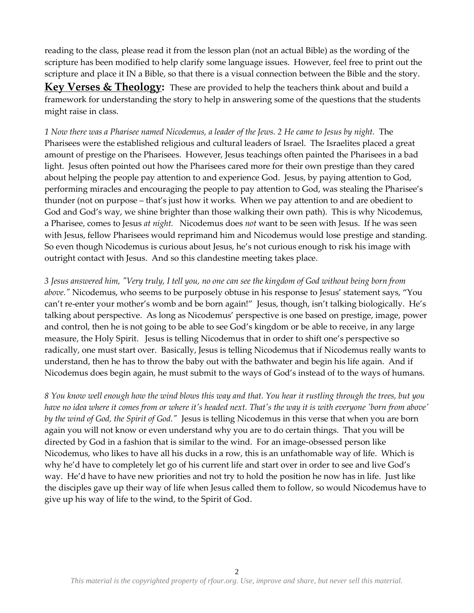reading to the class, please read it from the lesson plan (not an actual Bible) as the wording of the scripture has been modified to help clarify some language issues. However, feel free to print out the scripture and place it IN a Bible, so that there is a visual connection between the Bible and the story.

Key Verses & Theology: These are provided to help the teachers think about and build a framework for understanding the story to help in answering some of the questions that the students might raise in class.

*1 Now there was a Pharisee named Nicodemus, a leader of the Jews. 2 He came to Jesus by night.* The Pharisees were the established religious and cultural leaders of Israel. The Israelites placed a great amount of prestige on the Pharisees. However, Jesus teachings often painted the Pharisees in a bad light. Jesus often pointed out how the Pharisees cared more for their own prestige than they cared about helping the people pay attention to and experience God. Jesus, by paying attention to God, performing miracles and encouraging the people to pay attention to God, was stealing the Pharisee's thunder (not on purpose – that's just how it works. When we pay attention to and are obedient to God and God's way, we shine brighter than those walking their own path). This is why Nicodemus, a Pharisee, comes to Jesus *at night.* Nicodemus does *not* want to be seen with Jesus. If he was seen with Jesus, fellow Pharisees would reprimand him and Nicodemus would lose prestige and standing. So even though Nicodemus is curious about Jesus, he's not curious enough to risk his image with outright contact with Jesus. And so this clandestine meeting takes place.

*3 Jesus answered him, "Very truly, I tell you, no one can see the kingdom of God without being born from above."* Nicodemus, who seems to be purposely obtuse in his response to Jesus' statement says, 'You can't re-enter your mother's womb and be born again!" Jesus, though, isn't talking biologically. He's talking about perspective. As long as Nicodemus' perspective is one based on prestige, image, power and control, then he is not going to be able to see God's kingdom or be able to receive, in any large measure, the Holy Spirit. Jesus is telling Nicodemus that in order to shift one's perspective so radically, one must start over. Basically, Jesus is telling Nicodemus that if Nicodemus really wants to understand, then he has to throw the baby out with the bathwater and begin his life again. And if Nicodemus does begin again, he must submit to the ways of God's instead of to the ways of humans.

*8 You know well enough how the wind blows this way and that. You hear it rustling through the trees, but you have no idea where it comes from or where it's headed next. That's the way it is with everyone 'born from above' by the wind of God, the Spirit of God."* Jesus is telling Nicodemus in this verse that when you are born again you will not know or even understand why you are to do certain things. That you will be directed by God in a fashion that is similar to the wind. For an image-obsessed person like Nicodemus, who likes to have all his ducks in a row, this is an unfathomable way of life. Which is why he'd have to completely let go of his current life and start over in order to see and live God's way. He'd have to have new priorities and not try to hold the position he now has in life. Just like the disciples gave up their way of life when Jesus called them to follow, so would Nicodemus have to give up his way of life to the wind, to the Spirit of God.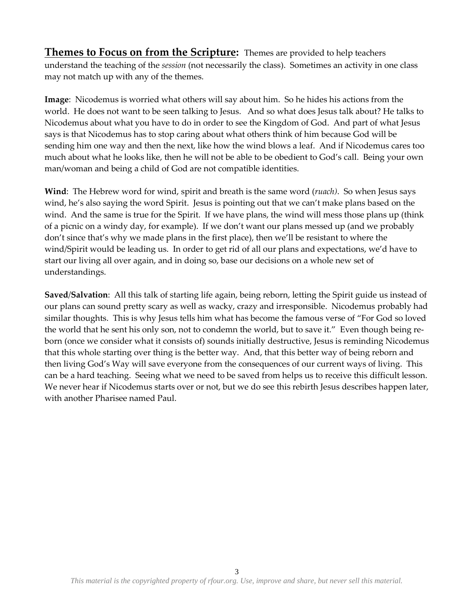**Themes to Focus on from the Scripture:** Themes are provided to help teachers understand the teaching of the *session* (not necessarily the class). Sometimes an activity in one class may not match up with any of the themes.

**Image**: Nicodemus is worried what others will say about him. So he hides his actions from the world. He does not want to be seen talking to Jesus. And so what does Jesus talk about? He talks to Nicodemus about what you have to do in order to see the Kingdom of God. And part of what Jesus says is that Nicodemus has to stop caring about what others think of him because God will be sending him one way and then the next, like how the wind blows a leaf. And if Nicodemus cares too much about what he looks like, then he will not be able to be obedient to God's call. Being your own man/woman and being a child of God are not compatible identities.

**Wind**: The Hebrew word for wind, spirit and breath is the same word (*ruach)*. So when Jesus says wind, he's also saying the word Spirit. Jesus is pointing out that we can't make plans based on the wind. And the same is true for the Spirit. If we have plans, the wind will mess those plans up (think of a picnic on a windy day, for example). If we don't want our plans messed up (and we probably don't since that's why we made plans in the first place), then we'll be resistant to where the wind/Spirit would be leading us. In order to get rid of all our plans and expectations, we'd have to start our living all over again, and in doing so, base our decisions on a whole new set of understandings.

**Saved**/**Salvation**: All this talk of starting life again, being reborn, letting the Spirit guide us instead of our plans can sound pretty scary as well as wacky, crazy and irresponsible. Nicodemus probably had similar thoughts. This is why Jesus tells him what has become the famous verse of 'For God so loved the world that he sent his only son, not to condemn the world, but to save it.' Even though being reborn (once we consider what it consists of) sounds initially destructive, Jesus is reminding Nicodemus that this whole starting over thing is the better way. And, that this better way of being reborn and then living God's Way will save everyone from the consequences of our current ways of living. This can be a hard teaching. Seeing what we need to be saved from helps us to receive this difficult lesson. We never hear if Nicodemus starts over or not, but we do see this rebirth Jesus describes happen later, with another Pharisee named Paul.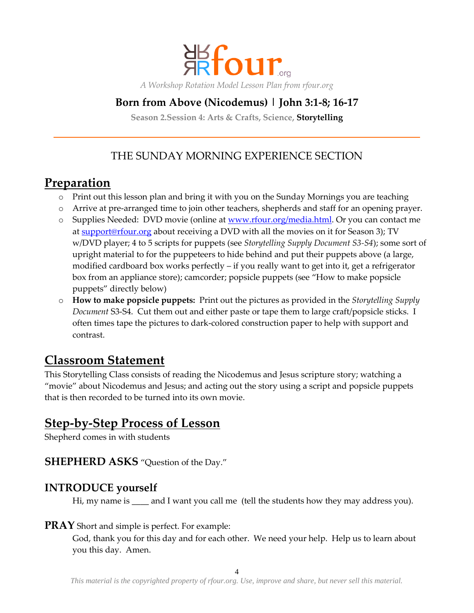

## **Born from Above (Nicodemus) | John 3:1-8; 16-17**

**Season 2.Session 4: Arts & Crafts, Science, Storytelling**

## THE SUNDAY MORNING EXPERIENCE SECTION

# **Preparation**

- o Print out this lesson plan and bring it with you on the Sunday Mornings you are teaching
- o Arrive at pre-arranged time to join other teachers, shepherds and staff for an opening prayer.
- o Supplies Needed: DVD movie (online at [www.rfour.org/media.html.](http://www.rfour.org/media.html) Or you can contact me at [support@rfour.org](mailto:contact@rfour.org) about receiving a DVD with all the movies on it for Season 3); TV w/DVD player; 4 to 5 scripts for puppets (see *Storytelling Supply Document S3-S4*); some sort of upright material to for the puppeteers to hide behind and put their puppets above (a large, modified cardboard box works perfectly – if you really want to get into it, get a refrigerator box from an appliance store); camcorder; popsicle puppets (see 'How to make popsicle puppets' directly below)
- o **How to make popsicle puppets:** Print out the pictures as provided in the *Storytelling Supply Document* S3-S4. Cut them out and either paste or tape them to large craft/popsicle sticks. I often times tape the pictures to dark-colored construction paper to help with support and contrast.

# **Classroom Statement**

This Storytelling Class consists of reading the Nicodemus and Jesus scripture story; watching a 'movie' about Nicodemus and Jesus; and acting out the story using a script and popsicle puppets that is then recorded to be turned into its own movie.

# **Step-by-Step Process of Lesson**

Shepherd comes in with students

### **SHEPHERD ASKS** 'Question of the Day.'

#### **INTRODUCE yourself**

Hi, my name is \_\_\_\_ and I want you call me (tell the students how they may address you).

#### **PRAY** Short and simple is perfect. For example:

God, thank you for this day and for each other. We need your help. Help us to learn about you this day. Amen.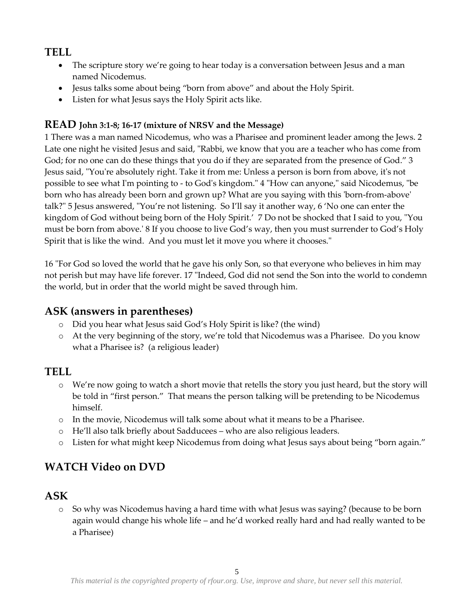## **TELL**

- The scripture story we're going to hear today is a conversation between Jesus and a man named Nicodemus.
- Jesus talks some about being 'born from above' and about the Holy Spirit.
- Listen for what Jesus says the Holy Spirit acts like.

#### **READ John 3:1-8; 16-17 (mixture of NRSV and the Message)**

1 There was a man named Nicodemus, who was a Pharisee and prominent leader among the Jews. 2 Late one night he visited Jesus and said, "Rabbi, we know that you are a teacher who has come from God; for no one can do these things that you do if they are separated from the presence of God." 3 Jesus said, "You're absolutely right. Take it from me: Unless a person is born from above, it's not possible to see what I'm pointing to - to God's kingdom." 4 "How can anyone," said Nicodemus, "be born who has already been born and grown up? What are you saying with this 'born-from-above' talk?" 5 Jesus answered, "You're not listening. So I'll say it another way, 6 'No one can enter the kingdom of God without being born of the Holy Spirit.' 7 Do not be shocked that I said to you, "You must be born from above.' 8 If you choose to live God's way, then you must surrender to God's Holy Spirit that is like the wind. And you must let it move you where it chooses."

16 "For God so loved the world that he gave his only Son, so that everyone who believes in him may not perish but may have life forever. 17 "Indeed, God did not send the Son into the world to condemn the world, but in order that the world might be saved through him.

### **ASK (answers in parentheses)**

- o Did you hear what Jesus said God's Holy Spirit is like? (the wind)
- o At the very beginning of the story, we're told that Nicodemus was a Pharisee. Do you know what a Pharisee is? (a religious leader)

### **TELL**

- o We're now going to watch a short movie that retells the story you just heard, but the story will be told in 'first person.' That means the person talking will be pretending to be Nicodemus himself.
- o In the movie, Nicodemus will talk some about what it means to be a Pharisee.
- o He'll also talk briefly about Sadducees who are also religious leaders.
- o Listen for what might keep Nicodemus from doing what Jesus says about being 'born again.'

# **WATCH Video on DVD**

### **ASK**

o So why was Nicodemus having a hard time with what Jesus was saying? (because to be born again would change his whole life – and he'd worked really hard and had really wanted to be a Pharisee)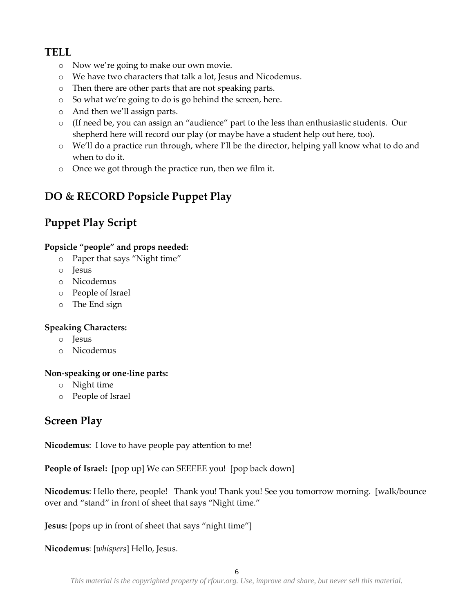## **TELL**

- o Now we're going to make our own movie.
- o We have two characters that talk a lot, Jesus and Nicodemus.
- o Then there are other parts that are not speaking parts.
- o So what we're going to do is go behind the screen, here.
- o And then we'll assign parts.
- o (If need be, you can assign an 'audience' part to the less than enthusiastic students. Our shepherd here will record our play (or maybe have a student help out here, too).
- o We'll do a practice run through, where I'll be the director, helping yall know what to do and when to do it.
- o Once we got through the practice run, then we film it.

# **DO & RECORD Popsicle Puppet Play**

# **Puppet Play Script**

#### **Popsicle "people" and props needed:**

- o Paper that says 'Night time'
- o Jesus
- o Nicodemus
- o People of Israel
- o The End sign

#### **Speaking Characters:**

- o Jesus
- o Nicodemus

#### **Non-speaking or one-line parts:**

- o Night time
- o People of Israel

# **Screen Play**

**Nicodemus**: I love to have people pay attention to me!

**People of Israel:** [pop up] We can SEEEEE you! [pop back down]

**Nicodemus**: Hello there, people! Thank you! Thank you! See you tomorrow morning. [walk/bounce over and "stand" in front of sheet that says "Night time."

**Jesus:** [pops up in front of sheet that says "night time"]

**Nicodemus**: [*whispers*] Hello, Jesus.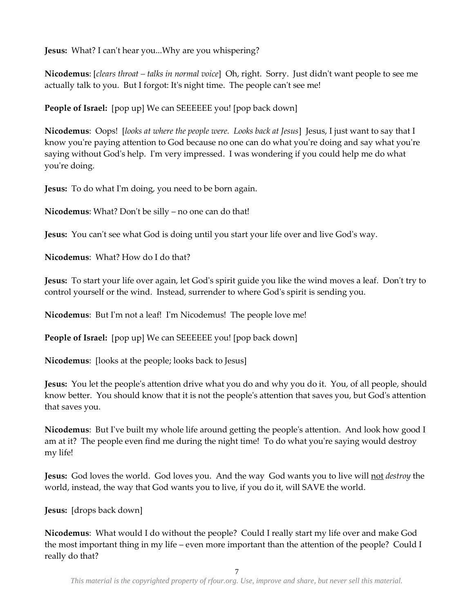**Jesus:** What? I can't hear you...Why are you whispering?

**Nicodemus**: [*clears throat – talks in normal voice*] Oh, right. Sorry. Just didn't want people to see me actually talk to you. But I forgot: It's night time. The people can't see me!

**People of Israel:** [pop up] We can SEEEEEE you! [pop back down]

**Nicodemus**: Oops! [*looks at where the people were. Looks back at Jesus*] Jesus, I just want to say that I know you're paying attention to God because no one can do what you're doing and say what you're saying without God's help. I'm very impressed. I was wondering if you could help me do what you're doing.

**Jesus:** To do what I'm doing, you need to be born again.

**Nicodemus**: What? Don't be silly – no one can do that!

**Jesus:** You can't see what God is doing until you start your life over and live God's way.

**Nicodemus**: What? How do I do that?

**Jesus:** To start your life over again, let God's spirit guide you like the wind moves a leaf. Don't try to control yourself or the wind. Instead, surrender to where God's spirit is sending you.

**Nicodemus**: But I'm not a leaf! I'm Nicodemus! The people love me!

**People of Israel:** [pop up] We can SEEEEEE you! [pop back down]

**Nicodemus**: [looks at the people; looks back to Jesus]

**Jesus:** You let the people's attention drive what you do and why you do it. You, of all people, should know better. You should know that it is not the people's attention that saves you, but God's attention that saves you.

**Nicodemus**: But I've built my whole life around getting the people's attention. And look how good I am at it? The people even find me during the night time! To do what you're saying would destroy my life!

**Jesus:** God loves the world. God loves you. And the way God wants you to live will not *destroy* the world, instead, the way that God wants you to live, if you do it, will SAVE the world.

**Jesus:** [drops back down]

**Nicodemus**: What would I do without the people? Could I really start my life over and make God the most important thing in my life – even more important than the attention of the people? Could I really do that?